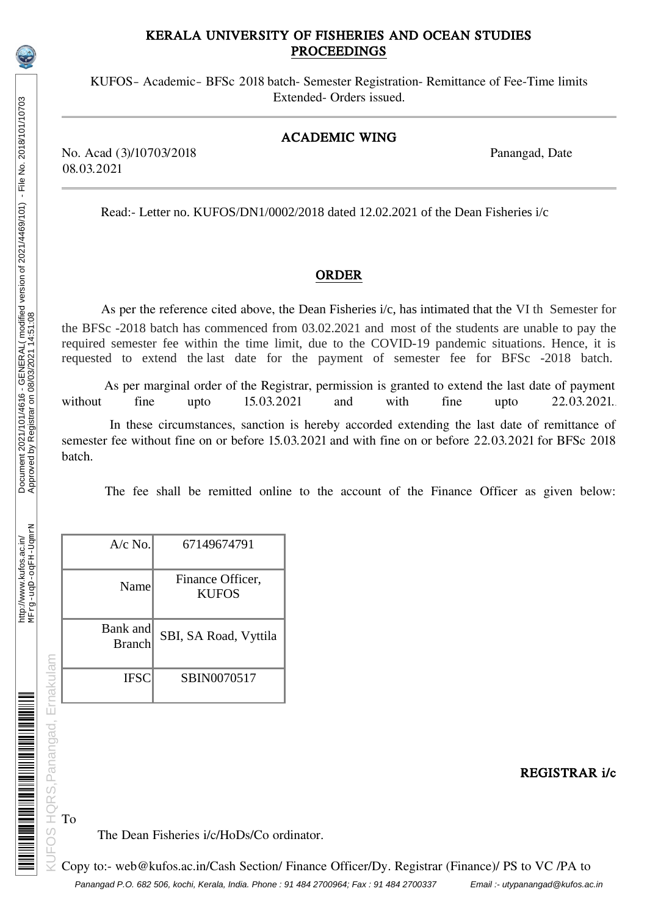# KERALA UNIVERSITY OF FISHERIES AND OCEAN STUDIES PROCEEDINGS

KUFOS– Academic– BFSc 2018 batch- Semester Registration- Remittance of Fee-Time limits Extended- Orders issued.

### ACADEMIC WING

No. Acad (3)/10703/2018 Panangad, Date 08.03.2021

Read:- Letter no. KUFOS/DN1/0002/2018 dated 12.02.2021 of the Dean Fisheries i/c

### ORDER

As per the reference cited above, the Dean Fisheries i/c, has intimated that the VI th Semester for the BFSc -2018 batch has commenced from 03.02.2021 and most of the students are unable to pay the required semester fee within the time limit, due to the COVID-19 pandemic situations. Hence, it is requested to extend the last date for the payment of semester fee for BFSc -2018 batch.

As per marginal order of the Registrar, permission is granted to extend the last date of payment<br>without fine upto  $15.03.2021$  and with fine upto  $22.03.2021$ . without fine upto 15.03.2021 and with fine upto 22.03.2021.

In these circumstances, sanction is hereby accorded extending the last date of remittance of semester fee without fine on or before 15.03.2021 and with fine on or before 22.03.2021 for BFSc 2018 batch.

The fee shall be remitted online to the account of the Finance Officer as given below:

|                         | A/c No.                                 | 67149674791                      |  |
|-------------------------|-----------------------------------------|----------------------------------|--|
|                         | Name                                    | Finance Officer,<br><b>KUFOS</b> |  |
|                         | Bank and<br><b>Branch</b>               | SBI, SA Road, Vyttila            |  |
|                         | <b>IFSC</b>                             | SBIN0070517                      |  |
|                         |                                         |                                  |  |
| RS, Panangad, Ernakulam |                                         |                                  |  |
|                         |                                         |                                  |  |
|                         | To<br>The Dean Fisheries i/c/HoDs/Co or |                                  |  |
|                         |                                         |                                  |  |
|                         | Copy to:- web@kufos.ac.in/Cash Section/ |                                  |  |

REGISTRAR i/c

# **THE MANUFACTURER IN THE STATE OF A**

HQRS, Panangad, Ernakulam

JFOS

# The Dean Fisheries i/c/HoDs/Co ordinator.

Panangad P.O. 682 506, kochi, Kerala, India. Phone : 91 484 2700964; Fax : 91 484 2700337 Email :- utypanangad@kufos.ac.in Copy to:- web@kufos.ac.in/Cash Section/ Finance Officer/Dy. Registrar (Finance)/ PS to VC /PA to